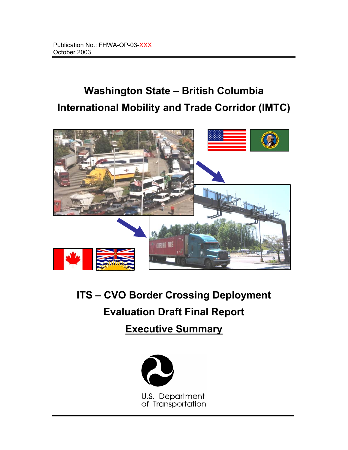# **Washington State – British Columbia International Mobility and Trade Corridor (IMTC)**



# **ITS – CVO Border Crossing Deployment Evaluation Draft Final Report**

**Executive Summary**



U.S. Department of Transportation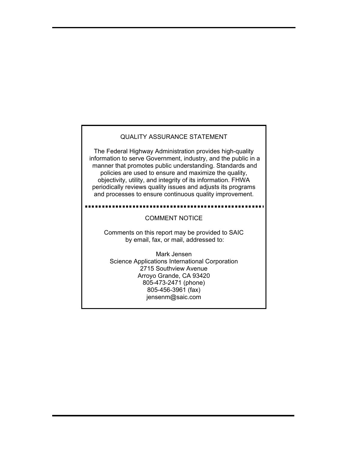#### QUALITY ASSURANCE STATEMENT

The Federal Highway Administration provides high-quality information to serve Government, industry, and the public in a manner that promotes public understanding. Standards and policies are used to ensure and maximize the quality, objectivity, utility, and integrity of its information. FHWA periodically reviews quality issues and adjusts its programs and processes to ensure continuous quality improvement.

#### COMMENT NOTICE

Comments on this report may be provided to SAIC by email, fax, or mail, addressed to:

Mark Jensen Science Applications International Corporation 2715 Southview Avenue Arroyo Grande, CA 93420 805-473-2471 (phone) 805-456-3961 (fax) jensenm@saic.com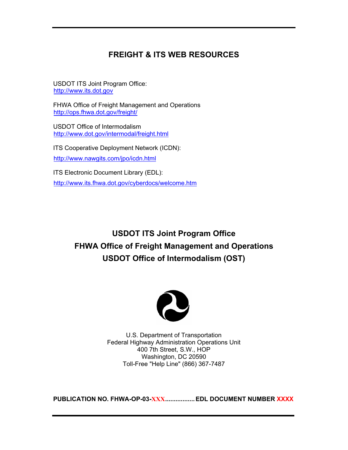### **FREIGHT & ITS WEB RESOURCES**

USDOT ITS Joint Program Office: http://www.its.dot.gov

FHWA Office of Freight Management and Operations http://ops.fhwa.dot.gov/freight/

USDOT Office of Intermodalism http://www.dot.gov/intermodal/freight.html

ITS Cooperative Deployment Network (ICDN): http://www.nawgits.com/jpo/icdn.html

ITS Electronic Document Library (EDL): http://www.its.fhwa.dot.gov/cyberdocs/welcome.htm

## **USDOT ITS Joint Program Office FHWA Office of Freight Management and Operations USDOT Office of Intermodalism (OST)**



U.S. Department of Transportation Federal Highway Administration Operations Unit 400 7th Street, S.W., HOP Washington, DC 20590 Toll-Free "Help Line" (866) 367-7487

**PUBLICATION NO. FHWA-OP-03-XXX................. EDL DOCUMENT NUMBER XXXX**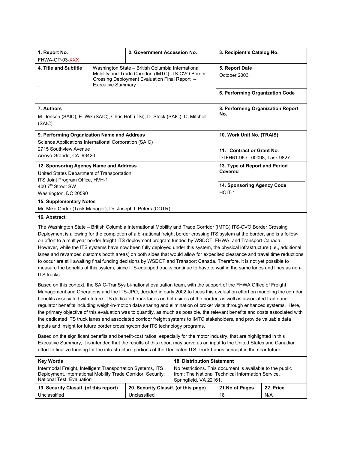| 1. Report No.                                                                             |                                                   | 2. Government Accession No.                                                                         | 3. Recipient's Catalog No.      |  |  |
|-------------------------------------------------------------------------------------------|---------------------------------------------------|-----------------------------------------------------------------------------------------------------|---------------------------------|--|--|
| FHWA-OP-03-XXX                                                                            |                                                   |                                                                                                     |                                 |  |  |
| 4. Title and Subtitle                                                                     | Washington State - British Columbia International |                                                                                                     | 5. Report Date                  |  |  |
|                                                                                           | <b>Executive Summary</b>                          | Mobility and Trade Corridor (IMTC) ITS-CVO Border<br>Crossing Deployment Evaluation Final Report -- | October 2003                    |  |  |
|                                                                                           |                                                   |                                                                                                     | 6. Performing Organization Code |  |  |
| 7. Authors                                                                                |                                                   | 8. Performing Organization Report                                                                   |                                 |  |  |
| M. Jensen (SAIC), E. Wik (SAIC), Chris Hoff (TSi), D. Stock (SAIC), C. Mitchell<br>(SAIC) |                                                   | No.                                                                                                 |                                 |  |  |
|                                                                                           |                                                   |                                                                                                     |                                 |  |  |
| 9. Performing Organization Name and Address                                               |                                                   | 10. Work Unit No. (TRAIS)                                                                           |                                 |  |  |
| Science Applications International Corporation (SAIC)                                     |                                                   |                                                                                                     |                                 |  |  |
| 2715 Southview Avenue                                                                     |                                                   | 11. Contract or Grant No.                                                                           |                                 |  |  |
| Arroyo Grande, CA 93420                                                                   |                                                   |                                                                                                     | DTFH61-96-C-00098; Task 9827    |  |  |
| 12. Sponsoring Agency Name and Address                                                    |                                                   | 13. Type of Report and Period                                                                       |                                 |  |  |
| United States Department of Transportation                                                |                                                   | Covered                                                                                             |                                 |  |  |
| ITS Joint Program Office, HVH-1                                                           |                                                   |                                                                                                     |                                 |  |  |
| 400 7th Street SW                                                                         |                                                   |                                                                                                     | 14. Sponsoring Agency Code      |  |  |
| Washington, DC 20590                                                                      |                                                   |                                                                                                     | HOIT-1                          |  |  |
| 15. Supplementary Notes                                                                   |                                                   |                                                                                                     |                                 |  |  |
| Mr. Mike Onder (Task Manager); Dr. Joseph I. Peters (COTR)                                |                                                   |                                                                                                     |                                 |  |  |

#### **16. Abstract**

The Washington State – British Columbia International Mobility and Trade Corridor (IMTC) ITS-CVO Border Crossing Deployment is allowing for the completion of a bi-national freight border crossing ITS system at the border, and is a followon effort to a multiyear border freight ITS deployment program funded by WSDOT, FHWA, and Transport Canada. However, while the ITS systems have now been fully deployed under this system, the physical infrastructure (i.e., additional lanes and revamped customs booth areas) on both sides that would allow for expedited clearance and travel time reductions to occur are still awaiting final funding decisions by WSDOT and Transport Canada. Therefore, it is not yet possible to measure the benefits of this system, since ITS-equipped trucks continue to have to wait in the same lanes and lines as non-ITS trucks.

Based on this context, the SAIC-TranSys bi-national evaluation team, with the support of the FHWA Office of Freight Management and Operations and the ITS-JPO, decided in early 2002 to focus this evaluation effort on modeling the corridor benefits associated with future ITS dedicated truck lanes on both sides of the border, as well as associated trade and regulator benefits including weigh-in-motion data sharing and elimination of broker visits through enhanced systems. Here, the primary objective of this evaluation was to quantify, as much as possible, the relevant benefits and costs associated with the dedicated ITS truck lanes and associated corridor freight systems to IMTC stakeholders, and provide valuable data inputs and insight for future border crossing/corridor ITS technology programs.

Based on the significant benefits and benefit-cost ratios, especially for the motor industry, that are highlighted in this Executive Summary, it is intended that the results of this report may serve as an input to the United States and Canadian effort to finalize funding for the infrastructure portions of the Dedicated ITS Truck Lanes concept in the near future.

| <b>Key Words</b>                                                                                                                                         | <b>18. Distribution Statement</b>                                                                                                        |  |                 |           |
|----------------------------------------------------------------------------------------------------------------------------------------------------------|------------------------------------------------------------------------------------------------------------------------------------------|--|-----------------|-----------|
| Intermodal Freight, Intelligent Transportation Systems, ITS<br>Deployment, International Mobility Trade Corridor; Security;<br>National Test, Evaluation | No restrictions. This document is available to the public<br>from: The National Technical Information Service,<br>Springfield, VA 22161. |  |                 |           |
| 19. Security Classif. (of this report)                                                                                                                   | 20. Security Classif. (of this page)                                                                                                     |  | 21. No of Pages | 22. Price |
| Unclassified<br>Unclassified                                                                                                                             |                                                                                                                                          |  | 18              | N/A       |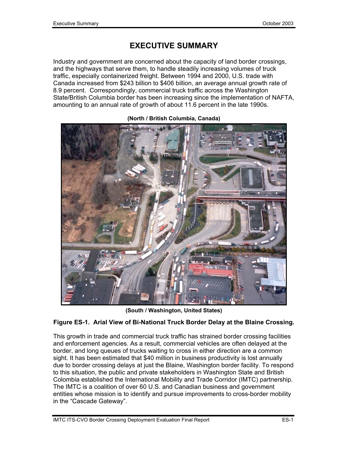## **EXECUTIVE SUMMARY**

Industry and government are concerned about the capacity of land border crossings, and the highways that serve them, to handle steadily increasing volumes of truck traffic, especially containerized freight. Between 1994 and 2000, U.S. trade with Canada increased from \$243 billion to \$406 billion, an average annual growth rate of 8.9 percent. Correspondingly, commercial truck traffic across the Washington State/British Columbia border has been increasing since the implementation of NAFTA, amounting to an annual rate of growth of about 11.6 percent in the late 1990s.



**(North / British Columbia, Canada)** 

**(South / Washington, United States)** 

#### **Figure ES-1. Arial View of Bi-National Truck Border Delay at the Blaine Crossing.**

This growth in trade and commercial truck traffic has strained border crossing facilities and enforcement agencies. As a result, commercial vehicles are often delayed at the border, and long queues of trucks waiting to cross in either direction are a common sight. It has been estimated that \$40 million in business productivity is lost annually due to border crossing delays at just the Blaine, Washington border facility. To respond to this situation, the public and private stakeholders in Washington State and British Colombia established the International Mobility and Trade Corridor (IMTC) partnership. The IMTC is a coalition of over 60 U.S. and Canadian business and government entities whose mission is to identify and pursue improvements to cross-border mobility in the "Cascade Gateway".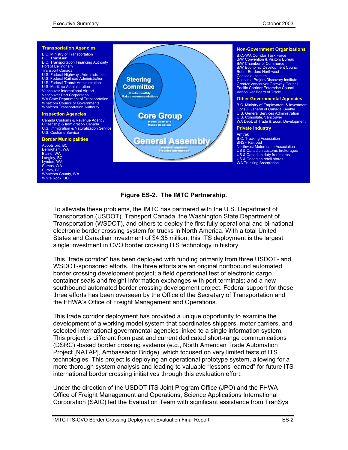

#### **Figure ES-2. The IMTC Partnership.**

To alleviate these problems, the IMTC has partnered with the U.S. Department of Transportation (USDOT), Transport Canada, the Washington State Department of Transportation (WSDOT), and others to deploy the first fully operational and bi-national electronic border crossing system for trucks in North America. With a total United States and Canadian investment of \$4.35 million, this ITS deployment is the largest single investment in CVO border crossing ITS technology in history.

This "trade corridor" has been deployed with funding primarily from three USDOT- and WSDOT-sponsored efforts. The three efforts are an original northbound automated border crossing development project; a field operational test of electronic cargo container seals and freight information exchanges with port terminals; and a new southbound automated border crossing development project. Federal support for these three efforts has been overseen by the Office of the Secretary of Transportation and the FHWA's Office of Freight Management and Operations.

This trade corridor deployment has provided a unique opportunity to examine the development of a working model system that coordinates shippers, motor carriers, and selected international governmental agencies linked to a single information system. This project is different from past and current dedicated short-range communications (DSRC) -based border crossing systems (e.g., North American Trade Automation Project [NATAP], Ambassador Bridge), which focused on very limited tests of ITS technologies. This project is deploying an operational prototype system, allowing for a more thorough system analysis and leading to valuable "lessons learned" for future ITS international border crossing initiatives through this evaluation effort.

Under the direction of the USDOT ITS Joint Program Office (JPO) and the FHWA Office of Freight Management and Operations, Science Applications International Corporation (SAIC) led the Evaluation Team with significant assistance from TranSys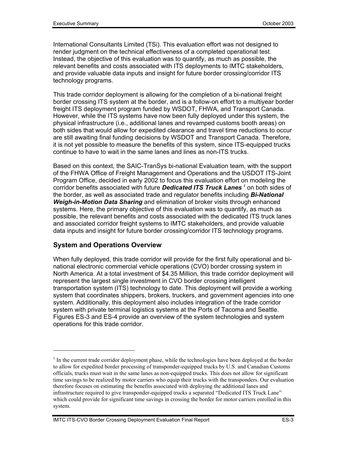International Consultants Limited (TSi). This evaluation effort was not designed to render judgment on the technical effectiveness of a completed operational test. Instead, the objective of this evaluation was to quantify, as much as possible, the relevant benefits and costs associated with ITS deployments to IMTC stakeholders, and provide valuable data inputs and insight for future border crossing/corridor ITS technology programs.

This trade corridor deployment is allowing for the completion of a bi-national freight border crossing ITS system at the border, and is a follow-on effort to a multiyear border freight ITS deployment program funded by WSDOT, FHWA, and Transport Canada. However, while the ITS systems have now been fully deployed under this system, the physical infrastructure (i.e., additional lanes and revamped customs booth areas) on both sides that would allow for expedited clearance and travel time reductions to occur are still awaiting final funding decisions by WSDOT and Transport Canada. Therefore, it is not yet possible to measure the benefits of this system, since ITS-equipped trucks continue to have to wait in the same lanes and lines as non-ITS trucks.

Based on this context, the SAIC-TranSys bi-national Evaluation team, with the support of the FHWA Office of Freight Management and Operations and the USDOT ITS-Joint Program Office, decided in early 2002 to focus this evaluation effort on modeling the corridor benefits associated with future *Dedicated ITS Truck Lanes <sup>1</sup>* on both sides of the border, as well as associated trade and regulator benefits including *Bi-National Weigh-in-Motion Data Sharing* and elimination of broker visits through enhanced systems. Here, the primary objective of this evaluation was to quantify, as much as possible, the relevant benefits and costs associated with the dedicated ITS truck lanes and associated corridor freight systems to IMTC stakeholders, and provide valuable data inputs and insight for future border crossing/corridor ITS technology programs.

#### **System and Operations Overview**

When fully deployed, this trade corridor will provide for the first fully operational and binational electronic commercial vehicle operations (CVO) border crossing system in North America. At a total investment of \$4.35 Million, this trade corridor deployment will represent the largest single investment in CVO border crossing intelligent transportation system (ITS) technology to date. This deployment will provide a working system that coordinates shippers, brokers, truckers, and government agencies into one system. Additionally, this deployment also includes integration of the trade corridor system with private terminal logistics systems at the Ports of Tacoma and Seattle. Figures ES-3 and ES-4 provide an overview of the system technologies and system operations for this trade corridor.

 $<sup>1</sup>$  In the current trade corridor deployment phase, while the technologies have been deployed at the border</sup> to allow for expedited border processing of transponder-equipped trucks by U.S. and Canadian Customs officials, trucks must wait in the same lanes as non-equipped trucks. This does not allow for significant time savings to be realized by motor carriers who equip their trucks with the transponders. Our evaluation therefore focuses on estimating the benefits associated with deploying the additional lanes and infrastructure required to give transponder-equipped trucks a separated "Dedicated ITS Truck Lane" which could provide for significant time savings in crossing the border for motor carriers enrolled in this system.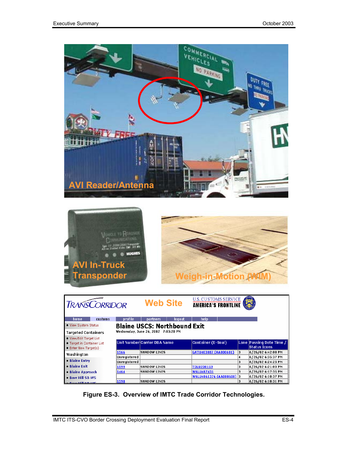



| <b>TRANSCORRIDOR</b>                                                           |         |                              | <b>Web Site</b>                     |        | <b>U.S. CUSTOMS SERVICE</b><br><b>AMERICA'S FRONTLINE</b> |        |                                                 |
|--------------------------------------------------------------------------------|---------|------------------------------|-------------------------------------|--------|-----------------------------------------------------------|--------|-------------------------------------------------|
| home                                                                           | customs | profile                      | partners                            | logout | help                                                      |        |                                                 |
| • View System Status                                                           |         |                              | <b>Blaine USCS: Northbound Exit</b> |        |                                                           |        |                                                 |
| <b>Targeted Containers</b>                                                     |         |                              | Wednesday, June 26, 2002 7:03:28 PM |        |                                                           |        |                                                 |
| . View/Edit Target List<br>• Target in Container List<br>• Enter New Target(s) |         |                              | Unit Number Carrier DBA Name        |        | <b>Container (E-Seal)</b>                                 |        | Lane Passing Date Time /<br><b>Status Icons</b> |
| Washington                                                                     |         | 1566                         | <b>SHADOW LINES</b>                 |        | GATU403887 (AA000601)                                     | 3      | 6/26/02 6:42:00 PM                              |
| • Blaine Entry                                                                 |         | Unregistered<br>Unregistered |                                     |        |                                                           | 4<br>3 | 6/26/02 6:35:37 PM<br>6/26/02 6:24:25 PM        |
| • Blaine Exit                                                                  |         | 1599                         | <b>SHADOW LINES</b>                 |        | <b>TOLU238159</b>                                         | 3      | 6/26/02 6:21:03 PM                              |
| • Blaine Approach                                                              |         | 1464                         | <b>SHADOW LINES</b>                 |        | <b>WSLU487431</b>                                         | з      | 6/26/02 6:17:35 PM                              |
| . Bow Hill SB WS                                                               |         |                              |                                     |        | WSLU4861376 (AA000608) 3                                  |        | 6/26/02 6:10:37 PM                              |
| <b>Dom Will MD WC</b>                                                          |         | 1598                         | <b>SHADOW LINES</b>                 |        |                                                           | 3      | 6/26/02 6:10:31 PM                              |

**Figure ES-3. Overview of IMTC Trade Corridor Technologies.**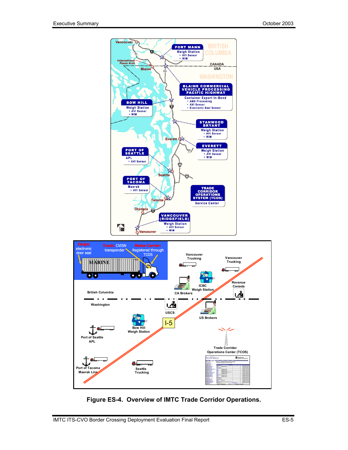



**Figure ES-4. Overview of IMTC Trade Corridor Operations.**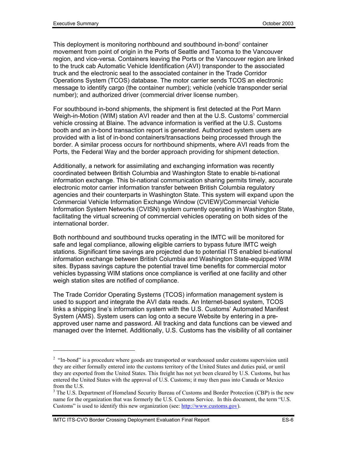This deployment is monitoring northbound and southbound in-bond $2$  container movement from point of origin in the Ports of Seattle and Tacoma to the Vancouver region, and vice-versa. Containers leaving the Ports or the Vancouver region are linked to the truck cab Automatic Vehicle Identification (AVI) transponder to the associated truck and the electronic seal to the associated container in the Trade Corridor Operations System (TCOS) database. The motor carrier sends TCOS an electronic message to identify cargo (the container number); vehicle (vehicle transponder serial number); and authorized driver (commercial driver license number).

For southbound in-bond shipments, the shipment is first detected at the Port Mann Weigh-in-Motion (WIM) station AVI reader and then at the U.S. Customs<sup>3</sup> commercial vehicle crossing at Blaine. The advance information is verified at the U.S. Customs booth and an in-bond transaction report is generated. Authorized system users are provided with a list of in-bond containers/transactions being processed through the border. A similar process occurs for northbound shipments, where AVI reads from the Ports, the Federal Way and the border approach providing for shipment detection.

Additionally, a network for assimilating and exchanging information was recently coordinated between British Columbia and Washington State to enable bi-national information exchange. This bi-national communication sharing permits timely, accurate electronic motor carrier information transfer between British Columbia regulatory agencies and their counterparts in Washington State. This system will expand upon the Commercial Vehicle Information Exchange Window (CVIEW)/Commercial Vehicle Information System Networks (CVISN) system currently operating in Washington State, facilitating the virtual screening of commercial vehicles operating on both sides of the international border.

Both northbound and southbound trucks operating in the IMTC will be monitored for safe and legal compliance, allowing eligible carriers to bypass future IMTC weigh stations. Significant time savings are projected due to potential ITS enabled bi-national information exchange between British Columbia and Washington State-equipped WIM sites. Bypass savings capture the potential travel time benefits for commercial motor vehicles bypassing WIM stations once compliance is verified at one facility and other weigh station sites are notified of compliance.

The Trade Corridor Operating Systems (TCOS) information management system is used to support and integrate the AVI data reads. An Internet-based system, TCOS links a shipping line's information system with the U.S. Customs' Automated Manifest System (AMS). System users can log onto a secure Website by entering in a preapproved user name and password. All tracking and data functions can be viewed and managed over the Internet. Additionally, U.S. Customs has the visibility of all container

 $2$  "In-bond" is a procedure where goods are transported or warehoused under customs supervision until they are either formally entered into the customs territory of the United States and duties paid, or until they are exported from the United States. This freight has not yet been cleared by U.S. Customs, but has entered the United States with the approval of U.S. Customs; it may then pass into Canada or Mexico from the U.S.

<sup>&</sup>lt;sup>3</sup> The U.S. Department of Homeland Security Bureau of Customs and Border Protection (CBP) is the new name for the organization that was formerly the U.S. Customs Service. In this document, the term "U.S. Customs" is used to identify this new organization (see: http://www.customs.gov).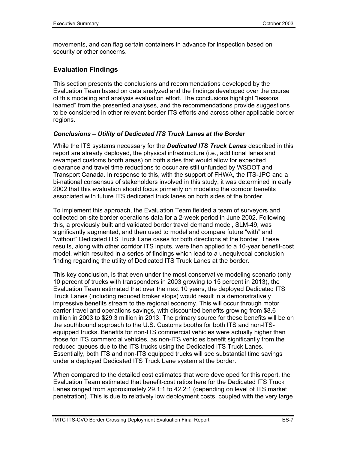movements, and can flag certain containers in advance for inspection based on security or other concerns.

#### **Evaluation Findings**

This section presents the conclusions and recommendations developed by the Evaluation Team based on data analyzed and the findings developed over the course of this modeling and analysis evaluation effort. The conclusions highlight "lessons learned" from the presented analyses, and the recommendations provide suggestions to be considered in other relevant border ITS efforts and across other applicable border regions.

#### *Conclusions – Utility of Dedicated ITS Truck Lanes at the Border*

While the ITS systems necessary for the *Dedicated ITS Truck Lanes* described in this report are already deployed, the physical infrastructure (i.e., additional lanes and revamped customs booth areas) on both sides that would allow for expedited clearance and travel time reductions to occur are still unfunded by WSDOT and Transport Canada. In response to this, with the support of FHWA, the ITS-JPO and a bi-national consensus of stakeholders involved in this study, it was determined in early 2002 that this evaluation should focus primarily on modeling the corridor benefits associated with future ITS dedicated truck lanes on both sides of the border.

To implement this approach, the Evaluation Team fielded a team of surveyors and collected on-site border operations data for a 2-week period in June 2002. Following this, a previously built and validated border travel demand model, SLM-49, was significantly augmented, and then used to model and compare future "with" and "without" Dedicated ITS Truck Lane cases for both directions at the border. These results, along with other corridor ITS inputs, were then applied to a 10-year benefit-cost model, which resulted in a series of findings which lead to a unequivocal conclusion finding regarding the utility of Dedicated ITS Truck Lanes at the border.

This key conclusion, is that even under the most conservative modeling scenario (only 10 percent of trucks with transponders in 2003 growing to 15 percent in 2013), the Evaluation Team estimated that over the next 10 years, the deployed Dedicated ITS Truck Lanes (including reduced broker stops) would result in a demonstratively impressive benefits stream to the regional economy. This will occur through motor carrier travel and operations savings, with discounted benefits growing from \$8.6 million in 2003 to \$29.3 million in 2013. The primary source for these benefits will be on the southbound approach to the U.S. Customs booths for both ITS and non-ITSequipped trucks. Benefits for non-ITS commercial vehicles were actually higher than those for ITS commercial vehicles, as non-ITS vehicles benefit significantly from the reduced queues due to the ITS trucks using the Dedicated ITS Truck Lanes. Essentially, both ITS and non-ITS equipped trucks will see substantial time savings under a deployed Dedicated ITS Truck Lane system at the border.

When compared to the detailed cost estimates that were developed for this report, the Evaluation Team estimated that benefit-cost ratios here for the Dedicated ITS Truck Lanes ranged from approximately 29.1:1 to 42.2:1 (depending on level of ITS market penetration). This is due to relatively low deployment costs, coupled with the very large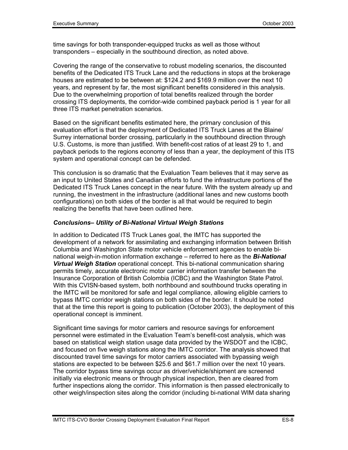time savings for both transponder-equipped trucks as well as those without transponders – especially in the southbound direction, as noted above.

Covering the range of the conservative to robust modeling scenarios, the discounted benefits of the Dedicated ITS Truck Lane and the reductions in stops at the brokerage houses are estimated to be between at: \$124.2 and \$169.9 million over the next 10 years, and represent by far, the most significant benefits considered in this analysis. Due to the overwhelming proportion of total benefits realized through the border crossing ITS deployments, the corridor-wide combined payback period is 1 year for all three ITS market penetration scenarios.

Based on the significant benefits estimated here, the primary conclusion of this evaluation effort is that the deployment of Dedicated ITS Truck Lanes at the Blaine/ Surrey international border crossing, particularly in the southbound direction through U.S. Customs, is more than justified. With benefit-cost ratios of at least 29 to 1, and payback periods to the regions economy of less than a year, the deployment of this ITS system and operational concept can be defended.

This conclusion is so dramatic that the Evaluation Team believes that it may serve as an input to United States and Canadian efforts to fund the infrastructure portions of the Dedicated ITS Truck Lanes concept in the near future. With the system already up and running, the investment in the infrastructure (additional lanes and new customs booth configurations) on both sides of the border is all that would be required to begin realizing the benefits that have been outlined here.

#### *Conclusions– Utility of Bi-National Virtual Weigh Stations*

In addition to Dedicated ITS Truck Lanes goal, the IMTC has supported the development of a network for assimilating and exchanging information between British Columbia and Washington State motor vehicle enforcement agencies to enable binational weigh-in-motion information exchange – referred to here as the *Bi-National Virtual Weigh Station* operational concept. This bi-national communication sharing permits timely, accurate electronic motor carrier information transfer between the Insurance Corporation of British Colombia (ICBC) and the Washington State Patrol. With this CVISN-based system, both northbound and southbound trucks operating in the IMTC will be monitored for safe and legal compliance, allowing eligible carriers to bypass IMTC corridor weigh stations on both sides of the border. It should be noted that at the time this report is going to publication (October 2003), the deployment of this operational concept is imminent.

Significant time savings for motor carriers and resource savings for enforcement personnel were estimated in the Evaluation Team's benefit-cost analysis, which was based on statistical weigh station usage data provided by the WSDOT and the ICBC, and focused on five weigh stations along the IMTC corridor. The analysis showed that discounted travel time savings for motor carriers associated with bypassing weigh stations are expected to be between \$25.6 and \$61.7 million over the next 10 years. The corridor bypass time savings occur as driver/vehicle/shipment are screened initially via electronic means or through physical inspection, then are cleared from further inspections along the corridor. This information is then passed electronically to other weigh/inspection sites along the corridor (including bi-national WIM data sharing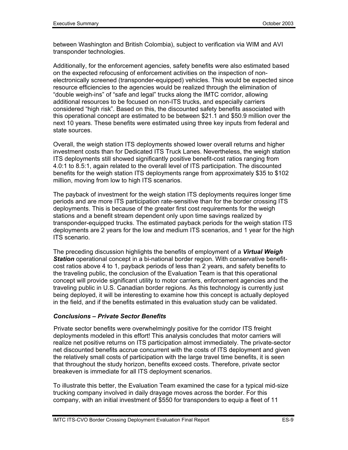between Washington and British Colombia), subject to verification via WIM and AVI transponder technologies.

Additionally, for the enforcement agencies, safety benefits were also estimated based on the expected refocusing of enforcement activities on the inspection of nonelectronically screened (transponder-equipped) vehicles. This would be expected since resource efficiencies to the agencies would be realized through the elimination of "double weigh-ins" of "safe and legal" trucks along the IMTC corridor, allowing additional resources to be focused on non-ITS trucks, and especially carriers considered "high risk". Based on this, the discounted safety benefits associated with this operational concept are estimated to be between \$21.1 and \$50.9 million over the next 10 years. These benefits were estimated using three key inputs from federal and state sources.

Overall, the weigh station ITS deployments showed lower overall returns and higher investment costs than for Dedicated ITS Truck Lanes. Nevertheless, the weigh station ITS deployments still showed significantly positive benefit-cost ratios ranging from 4.0:1 to 8.5:1, again related to the overall level of ITS participation. The discounted benefits for the weigh station ITS deployments range from approximately \$35 to \$102 million, moving from low to high ITS scenarios.

The payback of investment for the weigh station ITS deployments requires longer time periods and are more ITS participation rate-sensitive than for the border crossing ITS deployments. This is because of the greater first cost requirements for the weigh stations and a benefit stream dependent only upon time savings realized by transponder-equipped trucks. The estimated payback periods for the weigh station ITS deployments are 2 years for the low and medium ITS scenarios, and 1 year for the high ITS scenario.

The preceding discussion highlights the benefits of employment of a *Virtual Weigh Station* operational concept in a bi-national border region. With conservative benefitcost ratios above 4 to 1, payback periods of less than 2 years, and safety benefits to the traveling public, the conclusion of the Evaluation Team is that this operational concept will provide significant utility to motor carriers, enforcement agencies and the traveling public in U.S. Canadian border regions. As this technology is currently just being deployed, it will be interesting to examine how this concept is actually deployed in the field, and if the benefits estimated in this evaluation study can be validated.

#### *Conclusions – Private Sector Benefits*

 Private sector benefits were overwhelmingly positive for the corridor ITS freight deployments modeled in this effort! This analysis concludes that motor carriers will realize net positive returns on ITS participation almost immediately. The private-sector net discounted benefits accrue concurrent with the costs of ITS deployment and given the relatively small costs of participation with the large travel time benefits, it is seen that throughout the study horizon, benefits exceed costs. Therefore, private sector breakeven is immediate for all ITS deployment scenarios.

To illustrate this better, the Evaluation Team examined the case for a typical mid-size trucking company involved in daily drayage moves across the border. For this company, with an initial investment of \$550 for transponders to equip a fleet of 11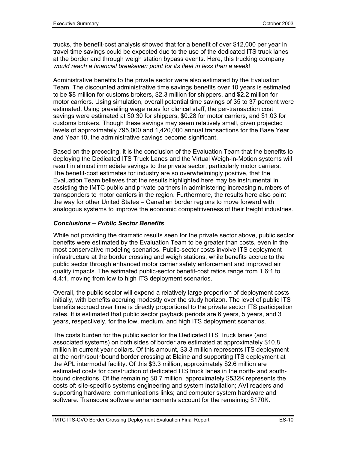trucks, the benefit-cost analysis showed that for a benefit of over \$12,000 per year in travel time savings could be expected due to the use of the dedicated ITS truck lanes at the border and through weigh station bypass events. Here, this trucking company *would reach a financial breakeven point for its fleet in less than a week*!

Administrative benefits to the private sector were also estimated by the Evaluation Team. The discounted administrative time savings benefits over 10 years is estimated to be \$8 million for customs brokers, \$2.3 million for shippers, and \$2.2 million for motor carriers. Using simulation, overall potential time savings of 35 to 37 percent were estimated. Using prevailing wage rates for clerical staff, the per-transaction cost savings were estimated at \$0.30 for shippers, \$0.28 for motor carriers, and \$1.03 for customs brokers. Though these savings may seem relatively small, given projected levels of approximately 795,000 and 1,420,000 annual transactions for the Base Year and Year 10, the administrative savings become significant.

Based on the preceding, it is the conclusion of the Evaluation Team that the benefits to deploying the Dedicated ITS Truck Lanes and the Virtual Weigh-in-Motion systems will result in almost immediate savings to the private sector, particularly motor carriers. The benefit-cost estimates for industry are so overwhelmingly positive, that the Evaluation Team believes that the results highlighted here may be instrumental in assisting the IMTC public and private partners in administering increasing numbers of transponders to motor carriers in the region. Furthermore, the results here also point the way for other United States – Canadian border regions to move forward with analogous systems to improve the economic competitiveness of their freight industries.

#### *Conclusions – Public Sector Benefits*

While not providing the dramatic results seen for the private sector above, public sector benefits were estimated by the Evaluation Team to be greater than costs, even in the most conservative modeling scenarios. Public-sector costs involve ITS deployment infrastructure at the border crossing and weigh stations, while benefits accrue to the public sector through enhanced motor carrier safety enforcement and improved air quality impacts. The estimated public-sector benefit-cost ratios range from 1.6:1 to 4.4:1, moving from low to high ITS deployment scenarios.

Overall, the public sector will expend a relatively large proportion of deployment costs initially, with benefits accruing modestly over the study horizon. The level of public ITS benefits accrued over time is directly proportional to the private sector ITS participation rates. It is estimated that public sector payback periods are 6 years, 5 years, and 3 years, respectively, for the low, medium, and high ITS deployment scenarios.

The costs burden for the public sector for the Dedicated ITS Truck lanes (and associated systems) on both sides of border are estimated at approximately \$10.8 million in current year dollars. Of this amount, \$3.3 million represents ITS deployment at the north/southbound border crossing at Blaine and supporting ITS deployment at the APL intermodal facility. Of this \$3.3 million, approximately \$2.6 million are estimated costs for construction of dedicated ITS truck lanes in the north- and southbound directions. Of the remaining \$0.7 million, approximately \$532K represents the costs of: site-specific systems engineering and system installation; AVI readers and supporting hardware; communications links; and computer system hardware and software. Transcore software enhancements account for the remaining \$170K.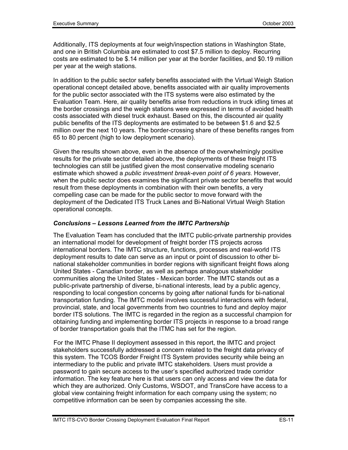Additionally, ITS deployments at four weigh/inspection stations in Washington State, and one in British Columbia are estimated to cost \$7.5 million to deploy. Recurring costs are estimated to be \$.14 million per year at the border facilities, and \$0.19 million per year at the weigh stations.

In addition to the public sector safety benefits associated with the Virtual Weigh Station operational concept detailed above, benefits associated with air quality improvements for the public sector associated with the ITS systems were also estimated by the Evaluation Team. Here, air quality benefits arise from reductions in truck idling times at the border crossings and the weigh stations were expressed in terms of avoided health costs associated with diesel truck exhaust. Based on this, the discounted air quality public benefits of the ITS deployments are estimated to be between \$1.6 and \$2.5 million over the next 10 years. The border-crossing share of these benefits ranges from 65 to 80 percent (high to low deployment scenario).

Given the results shown above, even in the absence of the overwhelmingly positive results for the private sector detailed above, the deployments of these freight ITS technologies can still be justified given the most conservative modeling scenario estimate which showed a *public investment break-even point of 6 years*. However, when the public sector does examines the significant private sector benefits that would result from these deployments in combination with their own benefits, a very compelling case can be made for the public sector to move forward with the deployment of the Dedicated ITS Truck Lanes and Bi-National Virtual Weigh Station operational concepts.

#### *Conclusions – Lessons Learned from the IMTC Partnership*

The Evaluation Team has concluded that the IMTC public-private partnership provides an international model for development of freight border ITS projects across international borders. The IMTC structure, functions, processes and real-world ITS deployment results to date can serve as an input or point of discussion to other binational stakeholder communities in border regions with significant freight flows along United States - Canadian border, as well as perhaps analogous stakeholder communities along the United States - Mexican border. The IMTC stands out as a public-private partnership of diverse, bi-national interests, lead by a public agency, responding to local congestion concerns by going after national funds for bi-national transportation funding. The IMTC model involves successful interactions with federal, provincial, state, and local governments from two countries to fund and deploy major border ITS solutions. The IMTC is regarded in the region as a successful champion for obtaining funding and implementing border ITS projects in response to a broad range of border transportation goals that the ITMC has set for the region.

 For the IMTC Phase II deployment assessed in this report, the IMTC and project stakeholders successfully addressed a concern related to the freight data privacy of this system. The TCOS Border Freight ITS System provides security while being an intermediary to the public and private IMTC stakeholders. Users must provide a password to gain secure access to the user's specified authorized trade corridor information. The key feature here is that users can only access and view the data for which they are authorized. Only Customs, WSDOT, and TransCore have access to a global view containing freight information for each company using the system; no competitive information can be seen by companies accessing the site.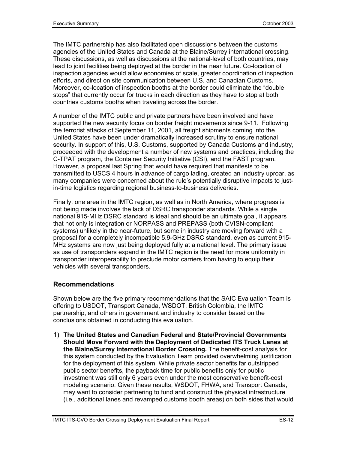The IMTC partnership has also facilitated open discussions between the customs agencies of the United States and Canada at the Blaine/Surrey international crossing. These discussions, as well as discussions at the national-level of both countries, may lead to joint facilities being deployed at the border in the near future. Co-location of inspection agencies would allow economies of scale, greater coordination of inspection efforts, and direct on site communication between U.S. and Canadian Customs. Moreover, co-location of inspection booths at the border could eliminate the "double stops" that currently occur for trucks in each direction as they have to stop at both countries customs booths when traveling across the border.

A number of the IMTC public and private partners have been involved and have supported the new security focus on border freight movements since 9-11. Following the terrorist attacks of September 11, 2001, all freight shipments coming into the United States have been under dramatically increased scrutiny to ensure national security. In support of this, U.S. Customs, supported by Canada Customs and industry, proceeded with the development a number of new systems and practices, including the C-TPAT program, the Container Security Initiative (CSI), and the FAST program. However, a proposal last Spring that would have required that manifests to be transmitted to USCS 4 hours in advance of cargo lading, created an Industry uproar, as many companies were concerned about the rule's potentially disruptive impacts to justin-time logistics regarding regional business-to-business deliveries.

Finally, one area in the IMTC region, as well as in North America, where progress is not being made involves the lack of DSRC transponder standards. While a single national 915-MHz DSRC standard is ideal and should be an ultimate goal, it appears that not only is integration or NORPASS and PREPASS (both CVISN-compliant systems) unlikely in the near-future, but some in industry are moving forward with a proposal for a completely incompatible 5.9-GHz DSRC standard, even as current 915- MHz systems are now just being deployed fully at a national level. The primary issue as use of transponders expand in the IMTC region is the need for more uniformity in transponder interoperability to preclude motor carriers from having to equip their vehicles with several transponders.

#### **Recommendations**

Shown below are the five primary recommendations that the SAIC Evaluation Team is offering to USDOT, Transport Canada, WSDOT, British Colombia, the IMTC partnership, and others in government and industry to consider based on the conclusions obtained in conducting this evaluation.

1) **The United States and Canadian Federal and State/Provincial Governments Should Move Forward with the Deployment of Dedicated ITS Truck Lanes at the Blaine/Surrey International Border Crossing.** The benefit-cost analysis for this system conducted by the Evaluation Team provided overwhelming justification for the deployment of this system. While private sector benefits far outstripped public sector benefits, the payback time for public benefits only for public investment was still only 6 years even under the most conservative benefit-cost modeling scenario. Given these results, WSDOT, FHWA, and Transport Canada, may want to consider partnering to fund and construct the physical infrastructure (i.e., additional lanes and revamped customs booth areas) on both sides that would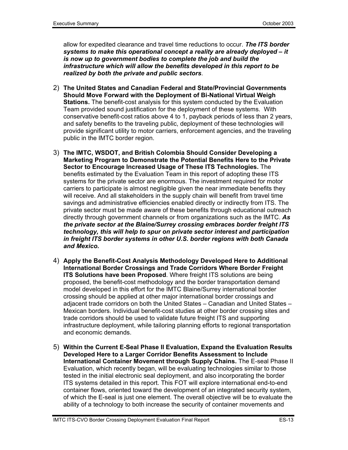allow for expedited clearance and travel time reductions to occur. *The ITS border systems to make this operational concept a reality are already deployed – it is now up to government bodies to complete the job and build the infrastructure which will allow the benefits developed in this report to be realized by both the private and public sectors*.

- 2) **The United States and Canadian Federal and State/Provincial Governments Should Move Forward with the Deployment of Bi-National Virtual Weigh Stations.** The benefit-cost analysis for this system conducted by the Evaluation Team provided sound justification for the deployment of these systems. With conservative benefit-cost ratios above 4 to 1, payback periods of less than 2 years, and safety benefits to the traveling public, deployment of these technologies will provide significant utility to motor carriers, enforcement agencies, and the traveling public in the IMTC border region.
- 3) **The IMTC, WSDOT, and British Colombia Should Consider Developing a Marketing Program to Demonstrate the Potential Benefits Here to the Private Sector to Encourage Increased Usage of These ITS Technologies.** The benefits estimated by the Evaluation Team in this report of adopting these ITS systems for the private sector are enormous. The investment required for motor carriers to participate is almost negligible given the near immediate benefits they will receive. And all stakeholders in the supply chain will benefit from travel time savings and administrative efficiencies enabled directly or indirectly from ITS. The private sector must be made aware of these benefits through educational outreach directly through government channels or from organizations such as the IMTC. *As the private sector at the Blaine/Surrey crossing embraces border freight ITS technology, this will help to spur on private sector interest and participation in freight ITS border systems in other U.S. border regions with both Canada and Mexico.*
- 4) **Apply the Benefit-Cost Analysis Methodology Developed Here to Additional International Border Crossings and Trade Corridors Where Border Freight ITS Solutions have been Proposed**. Where freight ITS solutions are being proposed, the benefit-cost methodology and the border transportation demand model developed in this effort for the IMTC Blaine/Surrey international border crossing should be applied at other major international border crossings and adjacent trade corridors on both the United States – Canadian and United States – Mexican borders. Individual benefit-cost studies at other border crossing sites and trade corridors should be used to validate future freight ITS and supporting infrastructure deployment, while tailoring planning efforts to regional transportation and economic demands.
- 5) **Within the Current E-Seal Phase II Evaluation, Expand the Evaluation Results Developed Here to a Larger Corridor Benefits Assessment to Include International Container Movement through Supply Chains.** The E-seal Phase II Evaluation, which recently began, will be evaluating technologies similar to those tested in the initial electronic seal deployment, and also incorporating the border ITS systems detailed in this report. This FOT will explore international end-to-end container flows, oriented toward the development of an integrated security system, of which the E-seal is just one element. The overall objective will be to evaluate the ability of a technology to both increase the security of container movements and